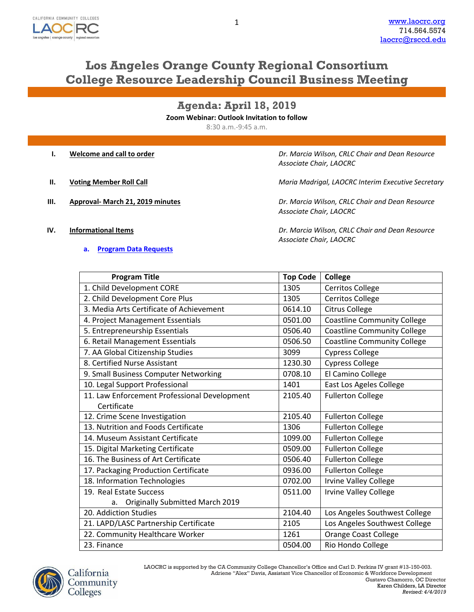

# **Los Angeles Orange County Regional Consortium College Resource Leadership Council Business Meeting**

**Agenda: April 18, 2019**

**Zoom Webinar: Outlook Invitation to follow**

8:30 a.m.-9:45 a.m.

|    | Welcome and call to order        | Dr. Marcia Wilson, CRLC Chair and Dean Resource<br>Associate Chair, LAOCRC |
|----|----------------------------------|----------------------------------------------------------------------------|
| н. | <b>Voting Member Roll Call</b>   | Maria Madrigal, LAOCRC Interim Executive Secretary                         |
| ш. | Approval- March 21, 2019 minutes | Dr. Marcia Wilson, CRLC Chair and Dean Resource<br>Associate Chair, LAOCRC |

# **a. [Program Data](http://www.laocrc.org/educators/program-approval/program-intents) Requests**

**IV. Informational Items** *Dr. Marcia Wilson, CRLC Chair and Dean Resource Associate Chair, LAOCRC*

| <b>Program Title</b>                         | <b>Top Code</b> | <b>College</b>                     |
|----------------------------------------------|-----------------|------------------------------------|
| 1. Child Development CORE                    | 1305            | <b>Cerritos College</b>            |
| 2. Child Development Core Plus               | 1305            | Cerritos College                   |
| 3. Media Arts Certificate of Achievement     | 0614.10         | <b>Citrus College</b>              |
| 4. Project Management Essentials             | 0501.00         | <b>Coastline Community College</b> |
| 5. Entrepreneurship Essentials               | 0506.40         | <b>Coastline Community College</b> |
| 6. Retail Management Essentials              | 0506.50         | <b>Coastline Community College</b> |
| 7. AA Global Citizenship Studies             | 3099            | <b>Cypress College</b>             |
| 8. Certified Nurse Assistant                 | 1230.30         | <b>Cypress College</b>             |
| 9. Small Business Computer Networking        | 0708.10         | El Camino College                  |
| 10. Legal Support Professional               | 1401            | East Los Ageles College            |
| 11. Law Enforcement Professional Development | 2105.40         | <b>Fullerton College</b>           |
| Certificate                                  |                 |                                    |
| 12. Crime Scene Investigation                | 2105.40         | <b>Fullerton College</b>           |
| 13. Nutrition and Foods Certificate          | 1306            | <b>Fullerton College</b>           |
| 14. Museum Assistant Certificate             | 1099.00         | <b>Fullerton College</b>           |
| 15. Digital Marketing Certificate            | 0509.00         | <b>Fullerton College</b>           |
| 16. The Business of Art Certificate          | 0506.40         | <b>Fullerton College</b>           |
| 17. Packaging Production Certificate         | 0936.00         | <b>Fullerton College</b>           |
| 18. Information Technologies                 | 0702.00         | <b>Irvine Valley College</b>       |
| 19. Real Estate Success                      | 0511.00         | <b>Irvine Valley College</b>       |
| <b>Originally Submitted March 2019</b><br>a. |                 |                                    |
| 20. Addiction Studies                        | 2104.40         | Los Angeles Southwest College      |
| 21. LAPD/LASC Partnership Certificate        | 2105            | Los Angeles Southwest College      |
| 22. Community Healthcare Worker              | 1261            | <b>Orange Coast College</b>        |
| 23. Finance                                  | 0504.00         | Rio Hondo College                  |

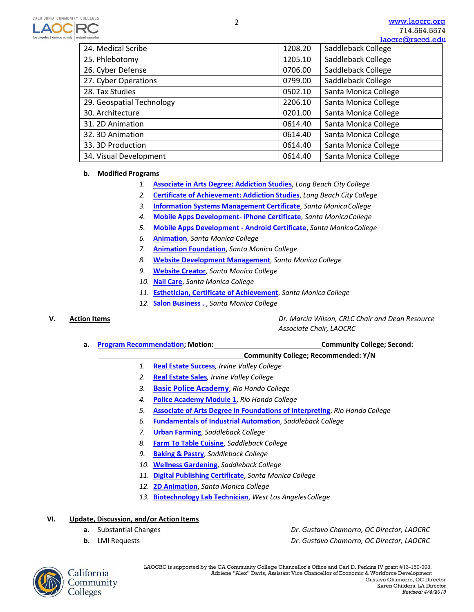|                           |         | laocrc@rsccd.edi     |
|---------------------------|---------|----------------------|
| 24. Medical Scribe        | 1208.20 | Saddleback College   |
| 25. Phlebotomy            | 1205.10 | Saddleback College   |
| 26. Cyber Defense         | 0706.00 | Saddleback College   |
| 27. Cyber Operations      | 0799.00 | Saddleback College   |
| 28. Tax Studies           | 0502.10 | Santa Monica College |
| 29. Geospatial Technology | 2206.10 | Santa Monica College |
| 30. Architecture          | 0201.00 | Santa Monica College |
| 31. 2D Animation          | 0614.40 | Santa Monica College |
| 32. 3D Animation          | 0614.40 | Santa Monica College |
| 33.3D Production          | 0614.40 | Santa Monica College |
| 34. Visual Development    | 0614.40 | Santa Monica College |

## **b. Modified Programs**

- *1.* **[Associate in Arts Degree: Addiction Studies](https://www.regionalcte.org/browse/Z2QmK)**, *Long Beach City College*
- *2.* **[Certificate of Achievement: Addicti](https://www.regionalcte.org/browse/ZM8pK)on Studies**, *Long Beach City College*
- *3.* **[Information Systems Management Certificate](https://www.regionalcte.org/browse/KAQEK)**, *Santa Monica College*
- *4.* **[Mobile Apps Development- iPhone Certificate](https://www.regionalcte.org/browse/ZYgp3)**, *Santa Monica College*
- *5.* **[Mobile Apps Development Android Certificate](https://www.regionalcte.org/browse/Kk6X3)**, *Santa Monica College*
- *6.* **[Animation](https://www.regionalcte.org/browse/3q7dZ)**, *Santa Monica College*
- *7.* **[Animation Foundation](https://www.regionalcte.org/browse/ZbPr3)**, *Santa Monica College*
- *8.* **[Website Development Management](https://www.regionalcte.org/browse/ZrDW3)**, *Santa Monica College*
- *9.* **[Website Creator](https://www.regionalcte.org/browse/KlGq3)**, *Santa Monica College*
- *10.* **[Nail Care](https://www.regionalcte.org/browse/35V5K)**, *Santa Monica College*
- *11.* **[Esthetician, Certificate of Achievement](https://www.regionalcte.org/browse/4g5zK)**, *Santa Monica College*
- *12.* **[Salon Business .](https://www.regionalcte.org/browse/4BYPZ)** , *Santa Monica College*

**V. Action Items** *Dr. Marcia Wilson, CRLC Chair and Dean Resource Associate Chair, LAOCRC*

**a. [Program Recommendation;](https://www.regionalcte.org/browse?region=4&status=4&search&submit) Motion: Community College; Second:**

# **Community College; Recommended: Y/N**

- *1.* **[Real Estate Success](https://www.regionalcte.org/browse/40Lw4)***, Irvine Valley College*
- *2.* **[Real Estate Sales](https://www.regionalcte.org/browse/3j6L3)***, Irvine Valley College*
- *3.* **[Basic Police Academy](https://www.regionalcte.org/browse/35NBK)**[,](https://www.regionalcte.org/browse/35NBK) *Rio Hondo College*
- *4.* **[Police Academy Module 1](https://www.regionalcte.org/browse/3XXB3)**, *Rio Hondo College*
- *5.* **[Associate of Arts Degree in Foundations of Interpreting](https://www.regionalcte.org/browse/ZMepZ)**, *Rio Hondo College*
- *6.* **[Fundamentals of Industrial Automation](https://www.regionalcte.org/browse/ZYjp4)**, *Saddleback College*
- *7.* **Urban [Farming](https://www.regionalcte.org/browse/KAVDZ)**, *Saddleback College*
- *8.* **[Farm To Table Cuisine](https://www.regionalcte.org/browse/KVDX4)**, *Saddleback College*
- *9.* **[Baking & Pastry](https://www.regionalcte.org/browse/35qN3)**, *Saddleback College*
- *10.* **[Wellness Gardening](https://www.regionalcte.org/browse/ZYpzK)**, *Saddleback College*
- *11.* **[Digital Publishing Certificate](https://www.regionalcte.org/browse/3Jqe4)**, *Santa Monica College*
- *12.* **[2D Animation](https://www.regionalcte.org/browse/4xPR4)**, *Santa Monica College*
- *13.* **[Biotechnology Lab Technician](https://www.regionalcte.org/browse/Zr0A3)**, *West Los AngelesCollege*

## **VI. Update, Discussion, and/or Action Items**

- 
- 

**a.** Substantial Changes *Dr. Gustavo Chamorro, OC Director, LAOCRC* **b.** LMI Requests *Dr. Gustavo Chamorro, OC Director, LAOCRC*



LAOCRC is supported by the CA Community College Chancellor's Office and Carl D. Perkins IV grant #13-150-003. Adriene "Alex" Davis, Assistant Vice Chancellor of Economic & Workforce Development Gustavo Chamorro, OC Director Karen Childers, LA Director